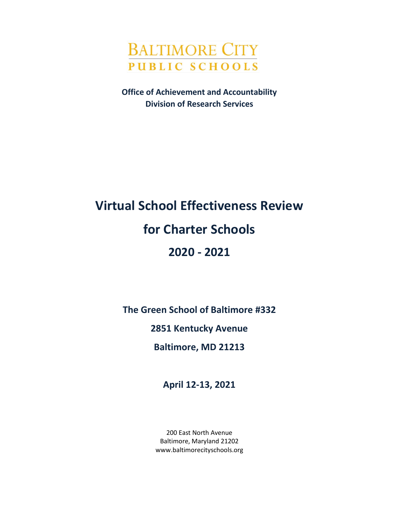

**Office of Achievement and Accountability Division of Research Services**

# **Virtual School Effectiveness Review for Charter Schools 2020 - 2021**

**The Green School of Baltimore #332**

**2851 Kentucky Avenue**

**Baltimore, MD 21213**

**April 12-13, 2021**

200 East North Avenue Baltimore, Maryland 21202 www.baltimorecityschools.org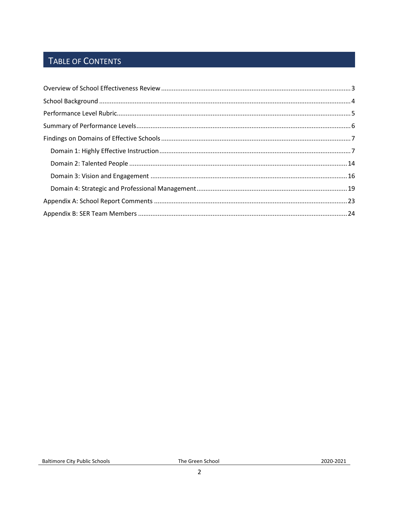## TABLE OF CONTENTS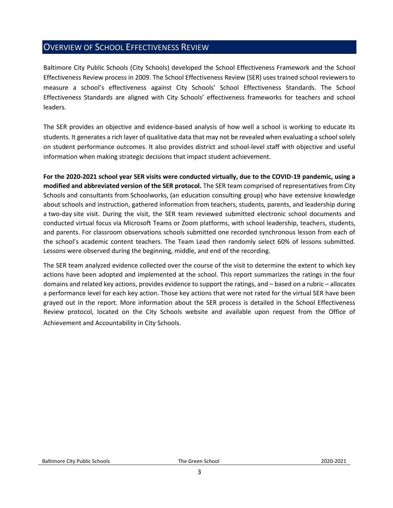## <span id="page-2-0"></span>OVERVIEW OF SCHOOL EFFECTIVENESS REVIEW

Baltimore City Public Schools (City Schools) developed the School Effectiveness Framework and the School Effectiveness Review process in 2009. The School Effectiveness Review (SER) uses trained school reviewers to measure a school's effectiveness against City Schools' School Effectiveness Standards. The School Effectiveness Standards are aligned with City Schools' effectiveness frameworks for teachers and school leaders.

The SER provides an objective and evidence-based analysis of how well a school is working to educate its students. It generates a rich layer of qualitative data that may not be revealed when evaluating a school solely on student performance outcomes. It also provides district and school-level staff with objective and useful information when making strategic decisions that impact student achievement.

**For the 2020-2021 school year SER visits were conducted virtually, due to the COVID-19 pandemic, using a modified and abbreviated version of the SER protocol.** The SER team comprised of representatives from City Schools and consultants from Schoolworks, (an education consulting group) who have extensive knowledge about schools and instruction, gathered information from teachers, students, parents, and leadership during a two-day site visit. During the visit, the SER team reviewed submitted electronic school documents and conducted virtual focus via Microsoft Teams or Zoom platforms, with school leadership, teachers, students, and parents. For classroom observations schools submitted one recorded synchronous lesson from each of the school's academic content teachers. The Team Lead then randomly select 60% of lessons submitted. Lessons were observed during the beginning, middle, and end of the recording.

The SER team analyzed evidence collected over the course of the visit to determine the extent to which key actions have been adopted and implemented at the school. This report summarizes the ratings in the four domains and related key actions, provides evidence to support the ratings, and – based on a rubric – allocates a performance level for each key action. Those key actions that were not rated for the virtual SER have been grayed out in the report. More information about the SER process is detailed in the School Effectiveness Review protocol, located on the City Schools website and available upon request from the Office of Achievement and Accountability in City Schools. **\\**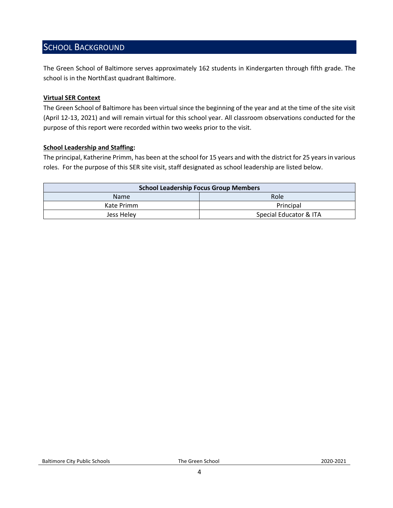## <span id="page-3-0"></span>SCHOOL BACKGROUND

The Green School of Baltimore serves approximately 162 students in Kindergarten through fifth grade. The school is in the NorthEast quadrant Baltimore.

#### **Virtual SER Context**

The Green School of Baltimore has been virtual since the beginning of the year and at the time of the site visit (April 12-13, 2021) and will remain virtual for this school year. All classroom observations conducted for the purpose of this report were recorded within two weeks prior to the visit.

#### **School Leadership and Staffing:**

The principal, Katherine Primm, has been at the school for 15 years and with the district for 25 years in various roles. For the purpose of this SER site visit, staff designated as school leadership are listed below.

<span id="page-3-1"></span>

| <b>School Leadership Focus Group Members</b> |                        |  |  |
|----------------------------------------------|------------------------|--|--|
| Role<br><b>Name</b>                          |                        |  |  |
| Kate Primm                                   | Principal              |  |  |
| Jess Helev                                   | Special Educator & ITA |  |  |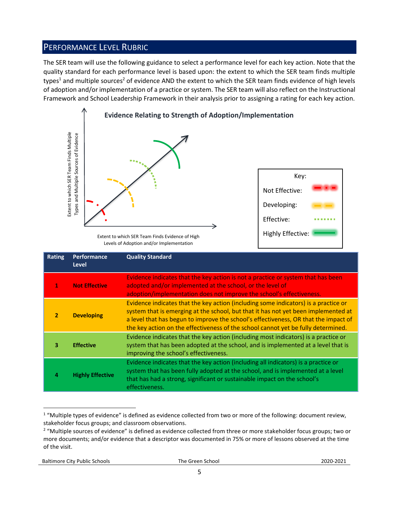## PERFORMANCE LEVEL RUBRIC

The SER team will use the following guidance to select a performance level for each key action. Note that the quality standard for each performance level is based upon: the extent to which the SER team finds multiple types<sup>1</sup> and multiple sources<sup>2</sup> of evidence AND the extent to which the SER team finds evidence of high levels of adoption and/or implementation of a practice or system. The SER team will also reflect on the Instructional Framework and School Leadership Framework in their analysis prior to assigning a rating for each key action.



Levels of Adoption and/or Implementation

|                | Extent to which SER Team Finds Multiple<br>Types and Multiple Sources of Evidence | Extent to which SER Team Finds Evidence of High<br>Levels of Adoption and/or Implementation                                                                                                                                                                                                                                                                                                                                                    | Key:<br>Not Effective:<br>Developing:<br>Effective:<br><b>Highly Effective:</b> |  |
|----------------|-----------------------------------------------------------------------------------|------------------------------------------------------------------------------------------------------------------------------------------------------------------------------------------------------------------------------------------------------------------------------------------------------------------------------------------------------------------------------------------------------------------------------------------------|---------------------------------------------------------------------------------|--|
| <b>Rating</b>  | Performance<br><b>Level</b>                                                       | <b>Quality Standard</b>                                                                                                                                                                                                                                                                                                                                                                                                                        |                                                                                 |  |
| 1              | <b>Not Effective</b>                                                              | Evidence indicates that the key action is not a practice or system that has been<br>adopted and/or implemented at the school, or the level of<br>adoption/implementation does not improve the school's effectiveness.                                                                                                                                                                                                                          |                                                                                 |  |
| $\overline{2}$ | <b>Developing</b>                                                                 | Evidence indicates that the key action (including some indicators) is a practice or<br>system that is emerging at the school, but that it has not yet been implemented at<br>a level that has begun to improve the school's effectiveness, OR that the impact of<br>the key action on the effectiveness of the school cannot yet be fully determined.                                                                                          |                                                                                 |  |
| 3              | <b>Effective</b>                                                                  | Evidence indicates that the key action (including most indicators) is a practice or<br>system that has been adopted at the school, and is implemented at a level that is<br>improving the school's effectiveness.                                                                                                                                                                                                                              |                                                                                 |  |
| 4              | <b>Highly Effective</b>                                                           | Evidence indicates that the key action (including all indicators) is a practice or<br>system that has been fully adopted at the school, and is implemented at a level<br>that has had a strong, significant or sustainable impact on the school's<br>effectiveness.                                                                                                                                                                            |                                                                                 |  |
| of the visit.  |                                                                                   | <sup>1</sup> "Multiple types of evidence" is defined as evidence collected from two or more of the following: document review,<br>stakeholder focus groups; and classroom observations.<br><sup>2</sup> "Multiple sources of evidence" is defined as evidence collected from three or more stakeholder focus groups; two or<br>more documents; and/or evidence that a descriptor was documented in 75% or more of lessons observed at the time |                                                                                 |  |

 $\overline{a}$  $1$  "Multiple types of evidence" is defined as evidence collected from two or more of the following: document review, stakeholder focus groups; and classroom observations.

<sup>&</sup>lt;sup>2</sup> "Multiple sources of evidence" is defined as evidence collected from three or more stakeholder focus groups; two or more documents; and/or evidence that a descriptor was documented in 75% or more of lessons observed at the time of the visit.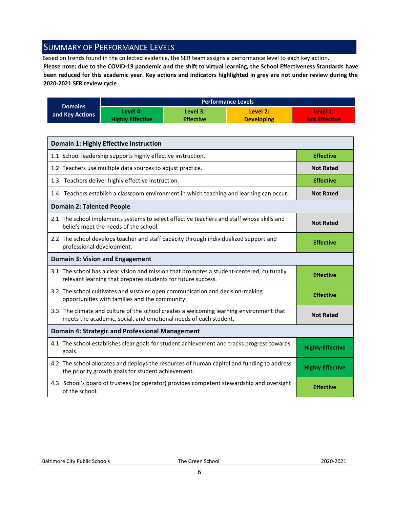## <span id="page-5-0"></span>SUMMARY OF PERFORMANCE LEVELS

Based on trends found in the collected evidence, the SER team assigns a performance level to each key action.

**Please note: due to the COVID-19 pandemic and the shift to virtual learning, the School Effectiveness Standards have been reduced for this academic year. Key actions and indicators highlighted in grey are not under review during the 2020-2021 SER review cycle**.

|                 | <b>Performance Levels</b> |                  |                   |                      |  |
|-----------------|---------------------------|------------------|-------------------|----------------------|--|
| <b>Domains</b>  | Level 4:                  | Level 3:         | Level 2:          | Level 1:             |  |
| and Key Actions | <b>Highly Effective</b>   | <b>Effective</b> | <b>Developing</b> | <b>Not Effective</b> |  |

| <b>Domain 1: Highly Effective Instruction</b>                                                                                                               |                         |  |  |
|-------------------------------------------------------------------------------------------------------------------------------------------------------------|-------------------------|--|--|
| 1.1 School leadership supports highly effective instruction.                                                                                                | <b>Effective</b>        |  |  |
| 1.2 Teachers use multiple data sources to adjust practice.                                                                                                  | <b>Not Rated</b>        |  |  |
| 1.3 Teachers deliver highly effective instruction.                                                                                                          | <b>Effective</b>        |  |  |
| 1.4 Teachers establish a classroom environment in which teaching and learning can occur.                                                                    | <b>Not Rated</b>        |  |  |
| <b>Domain 2: Talented People</b>                                                                                                                            |                         |  |  |
| 2.1 The school implements systems to select effective teachers and staff whose skills and<br>beliefs meet the needs of the school.                          | <b>Not Rated</b>        |  |  |
| 2.2 The school develops teacher and staff capacity through individualized support and<br>professional development.                                          | <b>Effective</b>        |  |  |
| <b>Domain 3: Vision and Engagement</b>                                                                                                                      |                         |  |  |
| 3.1 The school has a clear vision and mission that promotes a student-centered, culturally<br>relevant learning that prepares students for future success.  | <b>Effective</b>        |  |  |
| 3.2 The school cultivates and sustains open communication and decision-making<br>opportunities with families and the community.                             | <b>Effective</b>        |  |  |
| 3.3 The climate and culture of the school creates a welcoming learning environment that<br>meets the academic, social, and emotional needs of each student. | <b>Not Rated</b>        |  |  |
| <b>Domain 4: Strategic and Professional Management</b>                                                                                                      |                         |  |  |
| 4.1 The school establishes clear goals for student achievement and tracks progress towards<br>goals.                                                        | <b>Highly Effective</b> |  |  |
| 4.2 The school allocates and deploys the resources of human capital and funding to address<br>the priority growth goals for student achievement.            | <b>Highly Effective</b> |  |  |
| 4.3 School's board of trustees (or operator) provides competent stewardship and oversight<br>of the school.                                                 | <b>Effective</b>        |  |  |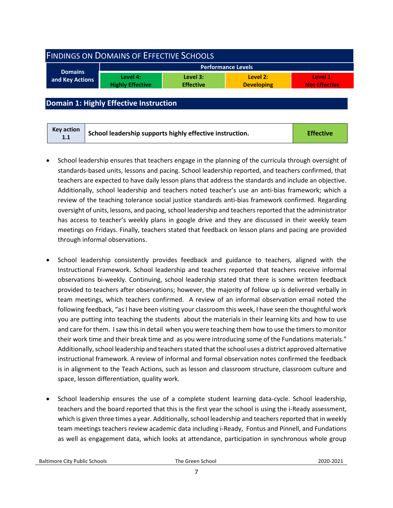<span id="page-6-0"></span>

| <b>FINDINGS ON DOMAINS OF EFFECTIVE SCHOOLS</b> |                                     |                              |                               |                                  |  |
|-------------------------------------------------|-------------------------------------|------------------------------|-------------------------------|----------------------------------|--|
| <b>Domains</b><br>and Key Actions               |                                     |                              | Performance Levels            |                                  |  |
|                                                 | Level 4:<br><b>Highly Effective</b> | Level 3:<br><b>Effective</b> | Level 2:<br><b>Developing</b> | Level 1:<br><b>Not Effective</b> |  |
|                                                 |                                     |                              |                               |                                  |  |

#### <span id="page-6-1"></span>**Domain 1: Highly Effective Instruction**

- School leadership ensures that teachers engage in the planning of the curricula through oversight of standards-based units, lessons and pacing. School leadership reported, and teachers confirmed, that teachers are expected to have daily lesson plans that address the standards and include an objective. Additionally, school leadership and teachers noted teacher's use an anti-bias framework; which a review of the teaching tolerance social justice standards anti-bias framework confirmed. Regarding oversight of units, lessons, and pacing, school leadership and teachers reported that the administrator has access to teacher's weekly plans in google drive and they are discussed in their weekly team meetings on Fridays. Finally, teachers stated that feedback on lesson plans and pacing are provided through informal observations.
- School leadership consistently provides feedback and guidance to teachers, aligned with the Instructional Framework. School leadership and teachers reported that teachers receive informal observations bi-weekly. Continuing, school leadership stated that there is some written feedback provided to teachers after observations; however, the majority of follow up is delivered verbally in team meetings, which teachers confirmed. A review of an informal observation email noted the following feedback, "as I have been visiting your classroom this week, I have seen the thoughtful work you are putting into teaching the students about the materials in their learning kits and how to use and care for them. I saw this in detail when you were teaching them how to use the timers to monitor their work time and their break time and as you were introducing some of the Fundations materials." Additionally, school leadership and teachers stated that the school uses a district approved alternative instructional framework. A review of informal and formal observation notes confirmed the feedback is in alignment to the Teach Actions, such as lesson and classroom structure, classroom culture and space, lesson differentiation, quality work.
- School leadership ensures the use of a complete student learning data-cycle. School leadership, teachers and the board reported that this is the first year the school is using the i-Ready assessment, which is given three times a year. Additionally, school leadership and teachers reported that in weekly team meetings teachers review academic data including i-Ready, Fontus and Pinnell, and Fundations as well as engagement data, which looks at attendance, participation in synchronous whole group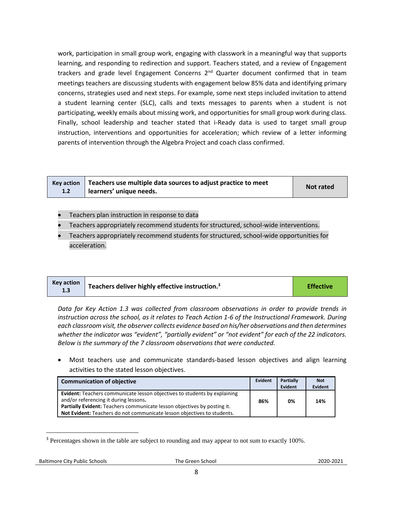work, participation in small group work, engaging with classwork in a meaningful way that supports learning, and responding to redirection and support. Teachers stated, and a review of Engagement trackers and grade level Engagement Concerns  $2<sup>nd</sup>$  Quarter document confirmed that in team meetings teachers are discussing students with engagement below 85% data and identifying primary concerns, strategies used and next steps. For example, some next steps included invitation to attend a student learning center (SLC), calls and texts messages to parents when a student is not participating, weekly emails about missing work, and opportunities for small group work during class. Finally, school leadership and teacher stated that i-Ready data is used to target small group instruction, interventions and opportunities for acceleration; which review of a letter informing parents of intervention through the Algebra Project and coach class confirmed.

| 1.2 | $\kappa$ Key action   Teachers use multiple data sources to adjust practice to meet<br>learners' unique needs. | Not rated |
|-----|----------------------------------------------------------------------------------------------------------------|-----------|
|-----|----------------------------------------------------------------------------------------------------------------|-----------|

- Teachers plan instruction in response to data
- Teachers appropriately recommend students for structured, school-wide interventions.
- Teachers appropriately recommend students for structured, school-wide opportunities for acceleration.

| <b>Key action</b> | <sup>1</sup> Teachers deliver highly effective instruction. <sup>3</sup> | <b>Effective</b> |
|-------------------|--------------------------------------------------------------------------|------------------|
|-------------------|--------------------------------------------------------------------------|------------------|

*Data for Key Action 1.3 was collected from classroom observations in order to provide trends in instruction across the school, as it relates to Teach Action 1-6 of the Instructional Framework. During each classroom visit, the observer collects evidence based on his/her observations and then determines whether the indicator was "evident", "partially evident" or "not evident" for each of the 22 indicators. Below is the summary of the 7 classroom observations that were conducted.* 

• Most teachers use and communicate standards-based lesson objectives and align learning activities to the stated lesson objectives.

| <b>Communication of objective</b>                                                                                                                                                                     | Evident | <b>Partially</b><br>Evident | <b>Not</b><br><b>Evident</b> |
|-------------------------------------------------------------------------------------------------------------------------------------------------------------------------------------------------------|---------|-----------------------------|------------------------------|
| <b>Evident:</b> Teachers communicate lesson objectives to students by explaining<br>and/or referencing it during lessons.<br>Partially Evident: Teachers communicate lesson objectives by posting it. | 86%     | 0%                          | 14%                          |
| Not Evident: Teachers do not communicate lesson objectives to students.                                                                                                                               |         |                             |                              |

<sup>&</sup>lt;sup>3</sup> Percentages shown in the table are subject to rounding and may appear to not sum to exactly 100%.

l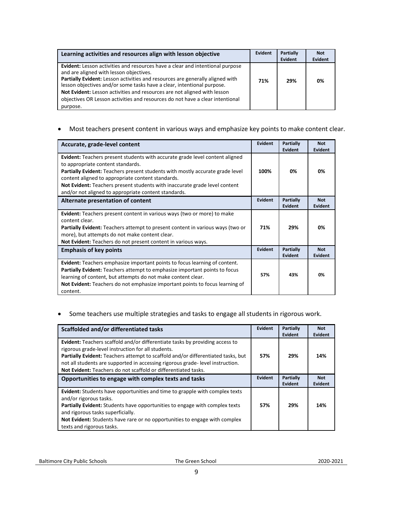| Learning activities and resources align with lesson objective                                                                                                                                                                                                                                                                                                                                                                                                       | Evident | <b>Partially</b><br><b>Evident</b> | <b>Not</b><br>Evident |
|---------------------------------------------------------------------------------------------------------------------------------------------------------------------------------------------------------------------------------------------------------------------------------------------------------------------------------------------------------------------------------------------------------------------------------------------------------------------|---------|------------------------------------|-----------------------|
| <b>Evident:</b> Lesson activities and resources have a clear and intentional purpose<br>and are aligned with lesson objectives.<br>Partially Evident: Lesson activities and resources are generally aligned with<br>lesson objectives and/or some tasks have a clear, intentional purpose.<br>Not Evident: Lesson activities and resources are not aligned with lesson<br>objectives OR Lesson activities and resources do not have a clear intentional<br>purpose. | 71%     | 29%                                | 0%                    |

• Most teachers present content in various ways and emphasize key points to make content clear.

| Accurate, grade-level content                                                                                                                                                                                                                                                                                                                                                                               | Evident        | Partially<br>Evident        | <b>Not</b><br>Evident |
|-------------------------------------------------------------------------------------------------------------------------------------------------------------------------------------------------------------------------------------------------------------------------------------------------------------------------------------------------------------------------------------------------------------|----------------|-----------------------------|-----------------------|
| <b>Evident:</b> Teachers present students with accurate grade level content aligned<br>to appropriate content standards.<br><b>Partially Evident:</b> Teachers present students with mostly accurate grade level<br>content aligned to appropriate content standards.<br>Not Evident: Teachers present students with inaccurate grade level content<br>and/or not aligned to appropriate content standards. | 100%           | 0%                          | 0%                    |
| Alternate presentation of content                                                                                                                                                                                                                                                                                                                                                                           | <b>Evident</b> | <b>Partially</b><br>Evident | <b>Not</b><br>Evident |
| <b>Evident:</b> Teachers present content in various ways (two or more) to make<br>content clear.<br><b>Partially Evident:</b> Teachers attempt to present content in various ways (two or<br>more), but attempts do not make content clear.<br>Not Evident: Teachers do not present content in various ways.                                                                                                | 71%            | 29%                         | 0%                    |
| <b>Emphasis of key points</b>                                                                                                                                                                                                                                                                                                                                                                               | Evident        | Partially<br>Evident        | <b>Not</b><br>Evident |
| <b>Evident:</b> Teachers emphasize important points to focus learning of content.<br>Partially Evident: Teachers attempt to emphasize important points to focus<br>learning of content, but attempts do not make content clear.<br>Not Evident: Teachers do not emphasize important points to focus learning of<br>content.                                                                                 | 57%            | 43%                         | 0%                    |

#### • Some teachers use multiple strategies and tasks to engage all students in rigorous work.

| Scaffolded and/or differentiated tasks                                                                                                                                                                                                                                                                                                                                           | <b>Evident</b> | Partially<br>Evident | <b>Not</b><br>Evident |
|----------------------------------------------------------------------------------------------------------------------------------------------------------------------------------------------------------------------------------------------------------------------------------------------------------------------------------------------------------------------------------|----------------|----------------------|-----------------------|
| <b>Evident:</b> Teachers scaffold and/or differentiate tasks by providing access to<br>rigorous grade-level instruction for all students.<br>Partially Evident: Teachers attempt to scaffold and/or differentiated tasks, but<br>not all students are supported in accessing rigorous grade-level instruction.<br>Not Evident: Teachers do not scaffold or differentiated tasks. | 57%            | 29%                  | 14%                   |
| Opportunities to engage with complex texts and tasks                                                                                                                                                                                                                                                                                                                             | <b>Evident</b> | Partially<br>Evident | <b>Not</b><br>Evident |
| Evident: Students have opportunities and time to grapple with complex texts<br>and/or rigorous tasks.<br><b>Partially Evident:</b> Students have opportunities to engage with complex texts<br>and rigorous tasks superficially.<br>Not Evident: Students have rare or no opportunities to engage with complex<br>texts and rigorous tasks.                                      | 57%            | 29%                  | 14%                   |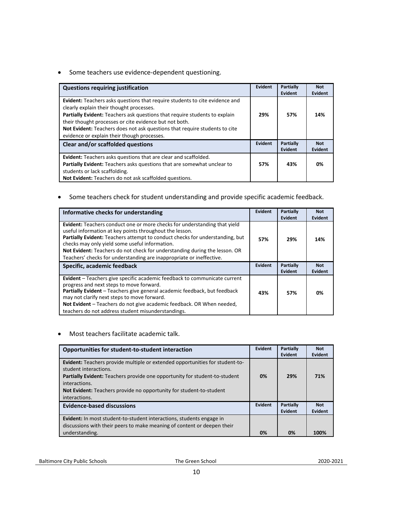• Some teachers use evidence-dependent questioning.

| <b>Questions requiring justification</b>                                                                                                                                                                                                                                                                                                                                                            | Evident | Partially<br>Evident | <b>Not</b><br><b>Evident</b> |
|-----------------------------------------------------------------------------------------------------------------------------------------------------------------------------------------------------------------------------------------------------------------------------------------------------------------------------------------------------------------------------------------------------|---------|----------------------|------------------------------|
| <b>Evident:</b> Teachers asks questions that require students to cite evidence and<br>clearly explain their thought processes.<br>Partially Evident: Teachers ask questions that require students to explain<br>their thought processes or cite evidence but not both.<br>Not Evident: Teachers does not ask questions that require students to cite<br>evidence or explain their though processes. | 29%     | 57%                  | 14%                          |
| Clear and/or scaffolded questions                                                                                                                                                                                                                                                                                                                                                                   | Evident | Partially<br>Evident | <b>Not</b><br>Evident        |
| <b>Evident:</b> Teachers asks questions that are clear and scaffolded.<br>Partially Evident: Teachers asks questions that are somewhat unclear to<br>students or lack scaffolding.<br>Not Evident: Teachers do not ask scaffolded questions.                                                                                                                                                        | 57%     | 43%                  | 0%                           |

• Some teachers check for student understanding and provide specific academic feedback.

| Informative checks for understanding                                                                                                                                                                                                                                                                                                                                                                                                       | Evident | Partially<br>Evident | <b>Not</b><br><b>Evident</b> |
|--------------------------------------------------------------------------------------------------------------------------------------------------------------------------------------------------------------------------------------------------------------------------------------------------------------------------------------------------------------------------------------------------------------------------------------------|---------|----------------------|------------------------------|
| <b>Evident:</b> Teachers conduct one or more checks for understanding that yield<br>useful information at key points throughout the lesson.<br><b>Partially Evident:</b> Teachers attempt to conduct checks for understanding, but<br>checks may only yield some useful information.<br>Not Evident: Teachers do not check for understanding during the lesson. OR<br>Teachers' checks for understanding are inappropriate or ineffective. | 57%     | 29%                  | 14%                          |
| Specific, academic feedback                                                                                                                                                                                                                                                                                                                                                                                                                | Evident | Partially<br>Evident | <b>Not</b><br>Evident        |
| Evident - Teachers give specific academic feedback to communicate current<br>progress and next steps to move forward.<br>Partially Evident - Teachers give general academic feedback, but feedback<br>may not clarify next steps to move forward.<br>Not Evident - Teachers do not give academic feedback. OR When needed,<br>teachers do not address student misunderstandings.                                                           | 43%     | 57%                  | 0%                           |

• Most teachers facilitate academic talk.

| Opportunities for student-to-student interaction                                                                                                                                                                                                                                             | Evident | <b>Partially</b><br>Evident | <b>Not</b><br>Evident |
|----------------------------------------------------------------------------------------------------------------------------------------------------------------------------------------------------------------------------------------------------------------------------------------------|---------|-----------------------------|-----------------------|
| Evident: Teachers provide multiple or extended opportunities for student-to-<br>student interactions.<br>Partially Evident: Teachers provide one opportunity for student-to-student<br>interactions.<br>Not Evident: Teachers provide no opportunity for student-to-student<br>interactions. | 0%      | 29%                         | 71%                   |
| <b>Evidence-based discussions</b>                                                                                                                                                                                                                                                            | Evident | <b>Partially</b><br>Evident | <b>Not</b><br>Evident |
| <b>Evident:</b> In most student-to-student interactions, students engage in<br>discussions with their peers to make meaning of content or deepen their<br>understanding.                                                                                                                     | 0%      | 0%                          | 100%                  |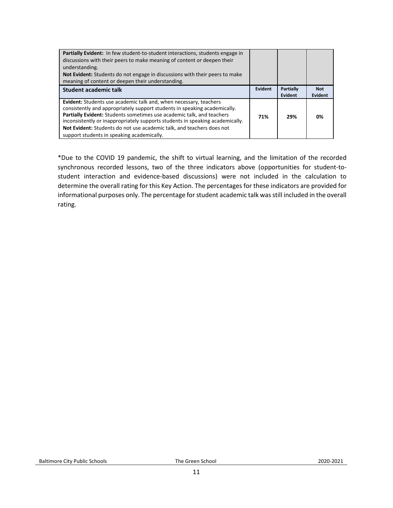| <b>Partially Evident:</b> In few student-to-student interactions, students engage in<br>discussions with their peers to make meaning of content or deepen their<br>understanding.<br><b>Not Evident:</b> Students do not engage in discussions with their peers to make<br>meaning of content or deepen their understanding.                                                                                                           |         |                             |                       |
|----------------------------------------------------------------------------------------------------------------------------------------------------------------------------------------------------------------------------------------------------------------------------------------------------------------------------------------------------------------------------------------------------------------------------------------|---------|-----------------------------|-----------------------|
| <b>Student academic talk</b>                                                                                                                                                                                                                                                                                                                                                                                                           | Evident | <b>Partially</b><br>Evident | <b>Not</b><br>Evident |
| <b>Evident:</b> Students use academic talk and, when necessary, teachers<br>consistently and appropriately support students in speaking academically.<br>Partially Evident: Students sometimes use academic talk, and teachers<br>inconsistently or inappropriately supports students in speaking academically.<br>Not Evident: Students do not use academic talk, and teachers does not<br>support students in speaking academically. | 71%     | 29%                         | 0%                    |

\*Due to the COVID 19 pandemic, the shift to virtual learning, and the limitation of the recorded synchronous recorded lessons, two of the three indicators above (opportunities for student-tostudent interaction and evidence-based discussions) were not included in the calculation to determine the overall rating for this Key Action. The percentages for these indicators are provided for informational purposes only. The percentage for student academic talk was still included in the overall rating.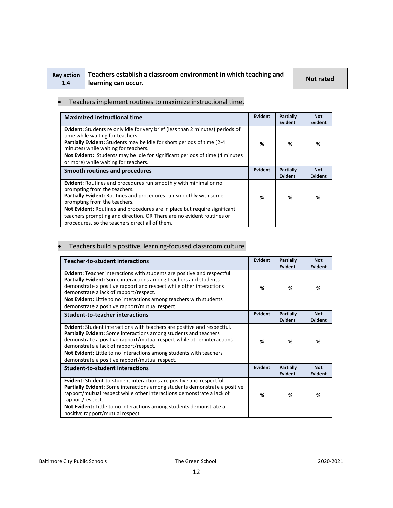| <b>Key action</b> |
|-------------------|
| 1.4               |

## **Teachers establish a classroom environment in which teaching and learning can occur. Not rated**

#### • Teachers implement routines to maximize instructional time.

| <b>Maximized instructional time</b>                                                                                                                                                                                                                                                                                                                                                                            | Evident | <b>Partially</b><br><b>Evident</b> | <b>Not</b><br><b>Evident</b> |
|----------------------------------------------------------------------------------------------------------------------------------------------------------------------------------------------------------------------------------------------------------------------------------------------------------------------------------------------------------------------------------------------------------------|---------|------------------------------------|------------------------------|
| Evident: Students re only idle for very brief (less than 2 minutes) periods of<br>time while waiting for teachers.<br><b>Partially Evident:</b> Students may be idle for short periods of time (2-4)<br>minutes) while waiting for teachers.<br>Not Evident: Students may be idle for significant periods of time (4 minutes)<br>or more) while waiting for teachers.                                          | %       | %                                  | %                            |
| Smooth routines and procedures                                                                                                                                                                                                                                                                                                                                                                                 | Evident | Partially<br><b>Evident</b>        | <b>Not</b><br>Evident        |
| Evident: Routines and procedures run smoothly with minimal or no<br>prompting from the teachers.<br>Partially Evident: Routines and procedures run smoothly with some<br>prompting from the teachers.<br>Not Evident: Routines and procedures are in place but require significant<br>teachers prompting and direction. OR There are no evident routines or<br>procedures, so the teachers direct all of them. | %       | %                                  | %                            |

#### • Teachers build a positive, learning-focused classroom culture.

| <b>Teacher-to-student interactions</b>                                                                                                                                                                                                                                                                                                                                                                  | <b>Evident</b> | Partially<br><b>Evident</b> | <b>Not</b><br><b>Evident</b> |
|---------------------------------------------------------------------------------------------------------------------------------------------------------------------------------------------------------------------------------------------------------------------------------------------------------------------------------------------------------------------------------------------------------|----------------|-----------------------------|------------------------------|
| Evident: Teacher interactions with students are positive and respectful.<br>Partially Evident: Some interactions among teachers and students<br>demonstrate a positive rapport and respect while other interactions<br>demonstrate a lack of rapport/respect.<br>Not Evident: Little to no interactions among teachers with students<br>demonstrate a positive rapport/mutual respect.                  | %              | ℅                           | ℅                            |
| <b>Student-to-teacher interactions</b>                                                                                                                                                                                                                                                                                                                                                                  | <b>Evident</b> | Partially<br><b>Evident</b> | <b>Not</b><br><b>Evident</b> |
| <b>Evident:</b> Student interactions with teachers are positive and respectful.<br><b>Partially Evident:</b> Some interactions among students and teachers<br>demonstrate a positive rapport/mutual respect while other interactions<br>demonstrate a lack of rapport/respect.<br>Not Evident: Little to no interactions among students with teachers<br>demonstrate a positive rapport/mutual respect. | %              | %                           | %                            |
| <b>Student-to-student interactions</b>                                                                                                                                                                                                                                                                                                                                                                  | <b>Evident</b> | <b>Partially</b><br>Evident | <b>Not</b><br><b>Evident</b> |
| Evident: Student-to-student interactions are positive and respectful.<br><b>Partially Evident:</b> Some interactions among students demonstrate a positive<br>rapport/mutual respect while other interactions demonstrate a lack of<br>rapport/respect.<br>Not Evident: Little to no interactions among students demonstrate a<br>positive rapport/mutual respect.                                      | %              | %                           | %                            |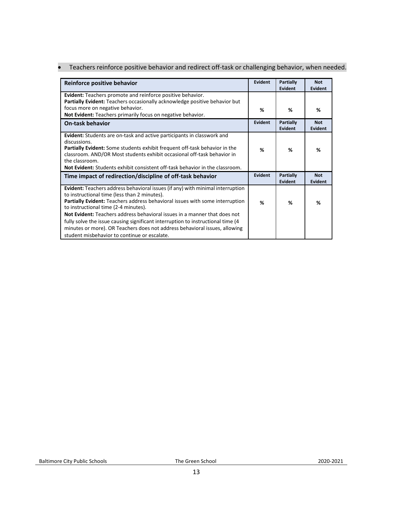|  | Teachers reinforce positive behavior and redirect off-task or challenging behavior, when needed. |  |
|--|--------------------------------------------------------------------------------------------------|--|
|--|--------------------------------------------------------------------------------------------------|--|

| Evident | <b>Partially</b><br>Evident        | <b>Not</b><br>Evident |
|---------|------------------------------------|-----------------------|
|         |                                    |                       |
| %       | %                                  | %                     |
| Evident | Partially<br>Evident               | <b>Not</b><br>Evident |
| %       | ℅                                  | %                     |
| Evident | <b>Partially</b><br><b>Evident</b> | <b>Not</b><br>Evident |
| %       | %                                  | %                     |
|         |                                    |                       |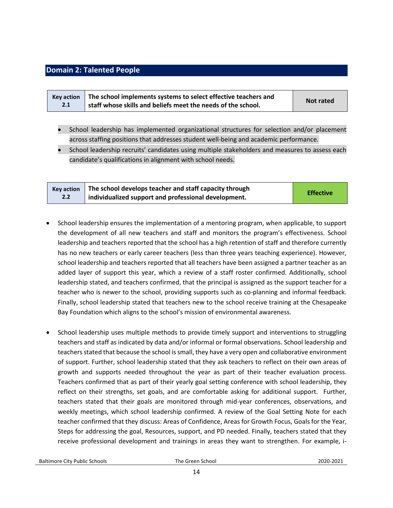## <span id="page-13-0"></span>**Domain 2: Talented People**

|     | Key action $\parallel$ The school implements systems to select effective teachers and |                  |
|-----|---------------------------------------------------------------------------------------|------------------|
| 2.1 | staff whose skills and beliefs meet the needs of the school.                          | <b>Not rated</b> |

- School leadership has implemented organizational structures for selection and/or placement across staffing positions that addresses student well-being and academic performance.
- School leadership recruits' candidates using multiple stakeholders and measures to assess each candidate's qualifications in alignment with school needs.

|     | Key action $\parallel$ The school develops teacher and staff capacity through |                  |
|-----|-------------------------------------------------------------------------------|------------------|
| 2.2 | individualized support and professional development.                          | <b>Effective</b> |

- School leadership ensures the implementation of a mentoring program, when applicable, to support the development of all new teachers and staff and monitors the program's effectiveness. School leadership and teachers reported that the school has a high retention of staff and therefore currently has no new teachers or early career teachers (less than three years teaching experience). However, school leadership and teachers reported that all teachers have been assigned a partner teacher as an added layer of support this year, which a review of a staff roster confirmed. Additionally, school leadership stated, and teachers confirmed, that the principal is assigned as the support teacher for a teacher who is newer to the school, providing supports such as co-planning and informal feedback. Finally, school leadership stated that teachers new to the school receive training at the Chesapeake Bay Foundation which aligns to the school's mission of environmental awareness.
- School leadership uses multiple methods to provide timely support and interventions to struggling teachers and staff as indicated by data and/or informal or formal observations. School leadership and teachers stated that because the school is small, they have a very open and collaborative environment of support. Further, school leadership stated that they ask teachers to reflect on their own areas of growth and supports needed throughout the year as part of their teacher evaluation process. Teachers confirmed that as part of their yearly goal setting conference with school leadership, they reflect on their strengths, set goals, and are comfortable asking for additional support. Further, teachers stated that their goals are monitored through mid-year conferences, observations, and weekly meetings, which school leadership confirmed. A review of the Goal Setting Note for each teacher confirmed that they discuss: Areas of Confidence, Areas for Growth Focus, Goals for the Year, Steps for addressing the goal, Resources, support, and PD needed. Finally, teachers stated that they receive professional development and trainings in areas they want to strengthen. For example, i-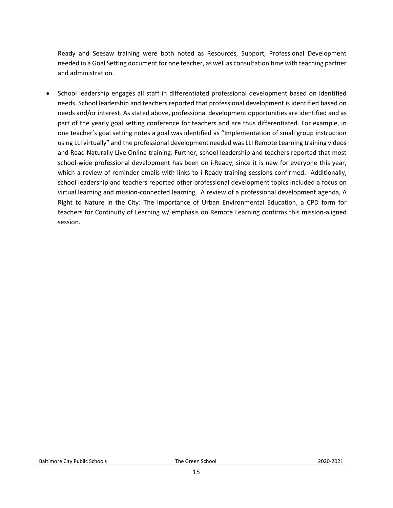Ready and Seesaw training were both noted as Resources, Support, Professional Development needed in a Goal Setting document for one teacher, as well as consultation time with teaching partner and administration.

• School leadership engages all staff in differentiated professional development based on identified needs. School leadership and teachers reported that professional development is identified based on needs and/or interest. As stated above, professional development opportunities are identified and as part of the yearly goal setting conference for teachers and are thus differentiated. For example, in one teacher's goal setting notes a goal was identified as "Implementation of small group instruction using LLI virtually" and the professional development needed was LLI Remote Learning training videos and Read Naturally Live Online training. Further, school leadership and teachers reported that most school-wide professional development has been on i-Ready, since it is new for everyone this year, which a review of reminder emails with links to i-Ready training sessions confirmed. Additionally, school leadership and teachers reported other professional development topics included a focus on virtual learning and mission-connected learning. A review of a professional development agenda, A Right to Nature in the City: The Importance of Urban Environmental Education, a CPD form for teachers for Continuity of Learning w/ emphasis on Remote Learning confirms this mission-aligned session.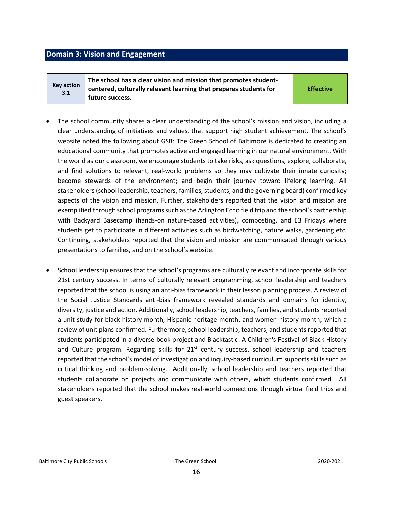## <span id="page-15-0"></span>**Domain 3: Vision and Engagement**

**Key action 3.1**

**The school has a clear vision and mission that promotes studentcentered, culturally relevant learning that prepares students for future success.** 

**Effective**

- The school community shares a clear understanding of the school's mission and vision, including a clear understanding of initiatives and values, that support high student achievement. The school's website noted the following about GSB: The Green School of Baltimore is dedicated to creating an educational community that promotes active and engaged learning in our natural environment. With the world as our classroom, we encourage students to take risks, ask questions, explore, collaborate, and find solutions to relevant, real-world problems so they may cultivate their innate curiosity; become stewards of the environment; and begin their journey toward lifelong learning. All stakeholders (school leadership, teachers, families, students, and the governing board) confirmed key aspects of the vision and mission. Further, stakeholders reported that the vision and mission are exemplified through school programs such as the Arlington Echo field trip and the school's partnership with Backyard Basecamp (hands-on nature-based activities), composting, and E3 Fridays where students get to participate in different activities such as birdwatching, nature walks, gardening etc. Continuing, stakeholders reported that the vision and mission are communicated through various presentations to families, and on the school's website.
- School leadership ensures that the school's programs are culturally relevant and incorporate skills for 21st century success. In terms of culturally relevant programming, school leadership and teachers reported that the school is using an anti-bias framework in their lesson planning process. A review of the Social Justice Standards anti-bias framework revealed standards and domains for identity, diversity, justice and action. Additionally, school leadership, teachers, families, and students reported a unit study for black history month, Hispanic heritage month, and women history month; which a review of unit plans confirmed. Furthermore, school leadership, teachers, and students reported that students participated in a diverse book project and Blacktastic: A Children's Festival of Black History and Culture program. Regarding skills for 21<sup>st</sup> century success, school leadership and teachers reported that the school's model of investigation and inquiry-based curriculum supports skills such as critical thinking and problem-solving. Additionally, school leadership and teachers reported that students collaborate on projects and communicate with others, which students confirmed. All stakeholders reported that the school makes real-world connections through virtual field trips and guest speakers.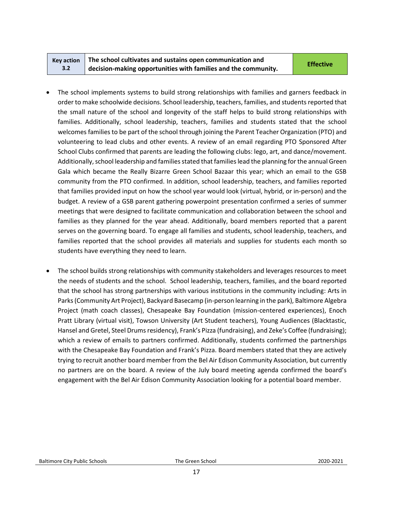#### **Key action 3.2 The school cultivates and sustains open communication and decision-making opportunities with families and the community. Effective**

- The school implements systems to build strong relationships with families and garners feedback in order to make schoolwide decisions. School leadership, teachers, families, and students reported that the small nature of the school and longevity of the staff helps to build strong relationships with families. Additionally, school leadership, teachers, families and students stated that the school welcomes families to be part of the school through joining the Parent Teacher Organization (PTO) and volunteering to lead clubs and other events. A review of an email regarding PTO Sponsored After School Clubs confirmed that parents are leading the following clubs: lego, art, and dance/movement. Additionally, school leadership and families stated that families lead the planning for the annual Green Gala which became the Really Bizarre Green School Bazaar this year; which an email to the GSB community from the PTO confirmed. In addition, school leadership, teachers, and families reported that families provided input on how the school year would look (virtual, hybrid, or in-person) and the budget. A review of a GSB parent gathering powerpoint presentation confirmed a series of summer meetings that were designed to facilitate communication and collaboration between the school and families as they planned for the year ahead. Additionally, board members reported that a parent serves on the governing board. To engage all families and students, school leadership, teachers, and families reported that the school provides all materials and supplies for students each month so students have everything they need to learn.
- The school builds strong relationships with community stakeholders and leverages resources to meet the needs of students and the school. School leadership, teachers, families, and the board reported that the school has strong partnerships with various institutions in the community including: Arts in Parks (Community Art Project), Backyard Basecamp (in-person learning in the park), Baltimore Algebra Project (math coach classes), Chesapeake Bay Foundation (mission-centered experiences), Enoch Pratt Library (virtual visit), Towson University (Art Student teachers), Young Audiences (Blacktastic, Hansel and Gretel, Steel Drums residency), Frank's Pizza (fundraising), and Zeke's Coffee (fundraising); which a review of emails to partners confirmed. Additionally, students confirmed the partnerships with the Chesapeake Bay Foundation and Frank's Pizza. Board members stated that they are actively trying to recruit another board member from the Bel Air Edison Community Association, but currently no partners are on the board. A review of the July board meeting agenda confirmed the board's engagement with the Bel Air Edison Community Association looking for a potential board member.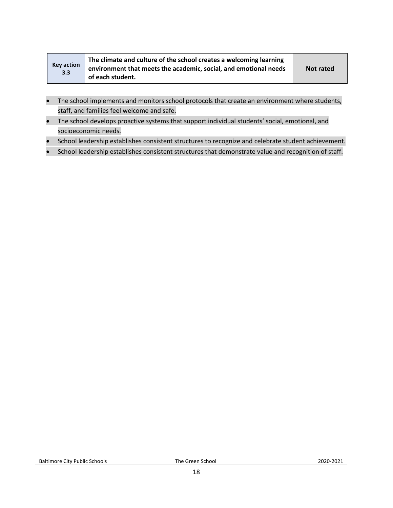| Key action<br>3.3 | The climate and culture of the school creates a welcoming learning<br>environment that meets the academic, social, and emotional needs | Not rated |
|-------------------|----------------------------------------------------------------------------------------------------------------------------------------|-----------|
|                   | of each student.                                                                                                                       |           |

- The school implements and monitors school protocols that create an environment where students, staff, and families feel welcome and safe.
- The school develops proactive systems that support individual students' social, emotional, and socioeconomic needs.
- School leadership establishes consistent structures to recognize and celebrate student achievement.
- School leadership establishes consistent structures that demonstrate value and recognition of staff.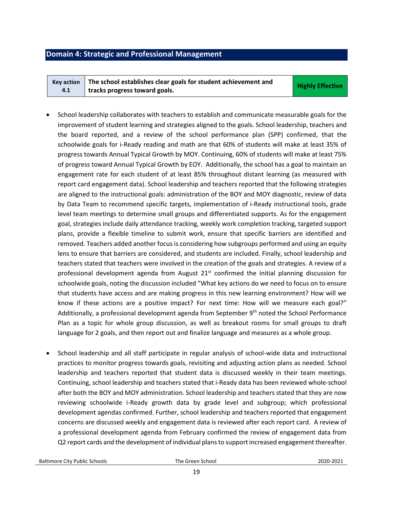#### <span id="page-18-0"></span>**Domain 4: Strategic and Professional Management**

**Key action 4.1 The school establishes clear goals for student achievement and tracks progress toward goals.** *Constitution of the construction of the Highly Effective* 

- School leadership collaborates with teachers to establish and communicate measurable goals for the improvement of student learning and strategies aligned to the goals. School leadership, teachers and the board reported, and a review of the school performance plan (SPP) confirmed, that the schoolwide goals for i-Ready reading and math are that 60% of students will make at least 35% of progress towards Annual Typical Growth by MOY. Continuing, 60% of students will make at least 75% of progress toward Annual Typical Growth by EOY. Additionally, the school has a goal to maintain an engagement rate for each student of at least 85% throughout distant learning (as measured with report card engagement data). School leadership and teachers reported that the following strategies are aligned to the instructional goals: administration of the BOY and MOY diagnostic, review of data by Data Team to recommend specific targets, implementation of i-Ready instructional tools, grade level team meetings to determine small groups and differentiated supports. As for the engagement goal, strategies include daily attendance tracking, weekly work completion tracking, targeted support plans, provide a flexible timeline to submit work, ensure that specific barriers are identified and removed. Teachers added another focus is considering how subgroups performed and using an equity lens to ensure that barriers are considered, and students are included. Finally, school leadership and teachers stated that teachers were involved in the creation of the goals and strategies. A review of a professional development agenda from August  $21<sup>st</sup>$  confirmed the initial planning discussion for schoolwide goals, noting the discussion included "What key actions do we need to focus on to ensure that students have access and are making progress in this new learning environment? How will we know if these actions are a positive impact? For next time: How will we measure each goal?" Additionally, a professional development agenda from September  $9<sup>th</sup>$  noted the School Performance Plan as a topic for whole group discussion, as well as breakout rooms for small groups to draft language for 2 goals, and then report out and finalize language and measures as a whole group.
- School leadership and all staff participate in regular analysis of school-wide data and instructional practices to monitor progress towards goals, revisiting and adjusting action plans as needed. School leadership and teachers reported that student data is discussed weekly in their team meetings. Continuing, school leadership and teachers stated that i-Ready data has been reviewed whole-school after both the BOY and MOY administration. School leadership and teachers stated that they are now reviewing schoolwide i-Ready growth data by grade level and subgroup; which professional development agendas confirmed. Further, school leadership and teachers reported that engagement concerns are discussed weekly and engagement data is reviewed after each report card. A review of a professional development agenda from February confirmed the review of engagement data from Q2 report cards and the development of individual plans to support increased engagement thereafter.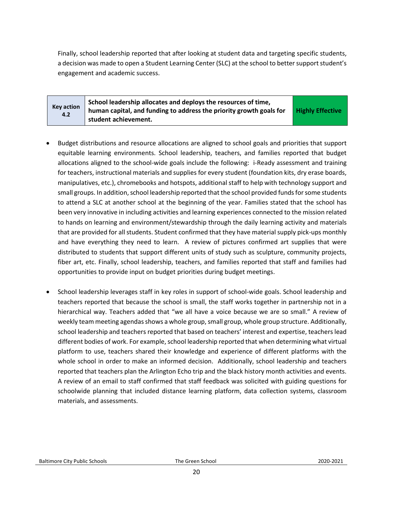Finally, school leadership reported that after looking at student data and targeting specific students, a decision was made to open a Student Learning Center (SLC) at the school to better support student's engagement and academic success.

| <b>Key action</b><br>4.2 | School leadership allocates and deploys the resources of time,<br>human capital, and funding to address the priority growth goals for<br>student achievement. | <b>Highly Effective</b> |
|--------------------------|---------------------------------------------------------------------------------------------------------------------------------------------------------------|-------------------------|
|--------------------------|---------------------------------------------------------------------------------------------------------------------------------------------------------------|-------------------------|

- Budget distributions and resource allocations are aligned to school goals and priorities that support equitable learning environments. School leadership, teachers, and families reported that budget allocations aligned to the school-wide goals include the following: i-Ready assessment and training for teachers, instructional materials and supplies for every student (foundation kits, dry erase boards, manipulatives, etc.), chromebooks and hotspots, additional staff to help with technology support and small groups. In addition, school leadership reported that the school provided funds for some students to attend a SLC at another school at the beginning of the year. Families stated that the school has been very innovative in including activities and learning experiences connected to the mission related to hands on learning and environment/stewardship through the daily learning activity and materials that are provided for all students. Student confirmed that they have material supply pick-ups monthly and have everything they need to learn. A review of pictures confirmed art supplies that were distributed to students that support different units of study such as sculpture, community projects, fiber art, etc. Finally, school leadership, teachers, and families reported that staff and families had opportunities to provide input on budget priorities during budget meetings.
- School leadership leverages staff in key roles in support of school-wide goals. School leadership and teachers reported that because the school is small, the staff works together in partnership not in a hierarchical way. Teachers added that "we all have a voice because we are so small." A review of weekly team meeting agendas shows a whole group, small group, whole group structure. Additionally, school leadership and teachers reported that based on teachers' interest and expertise, teachers lead different bodies of work. For example, school leadership reported that when determining what virtual platform to use, teachers shared their knowledge and experience of different platforms with the whole school in order to make an informed decision. Additionally, school leadership and teachers reported that teachers plan the Arlington Echo trip and the black history month activities and events. A review of an email to staff confirmed that staff feedback was solicited with guiding questions for schoolwide planning that included distance learning platform, data collection systems, classroom materials, and assessments.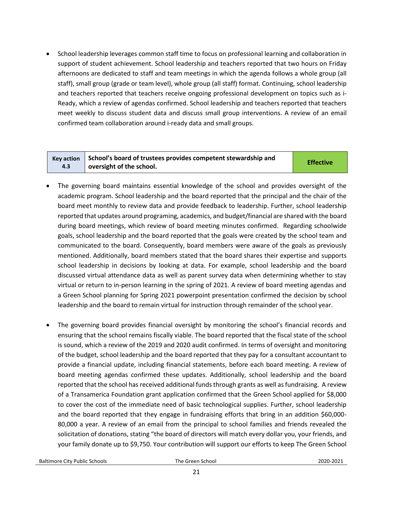• School leadership leverages common staff time to focus on professional learning and collaboration in support of student achievement. School leadership and teachers reported that two hours on Friday afternoons are dedicated to staff and team meetings in which the agenda follows a whole group (all staff), small group (grade or team level), whole group (all staff) format. Continuing, school leadership and teachers reported that teachers receive ongoing professional development on topics such as i-Ready, which a review of agendas confirmed. School leadership and teachers reported that teachers meet weekly to discuss student data and discuss small group interventions. A review of an email confirmed team collaboration around i-ready data and small groups.

|     | $\overline{\phantom{a}}$ Key action $\overline{\phantom{a}}$ School's board of trustees provides competent stewardship and | <b>Effective</b> |
|-----|----------------------------------------------------------------------------------------------------------------------------|------------------|
| 4.3 | oversight of the school.                                                                                                   |                  |

- The governing board maintains essential knowledge of the school and provides oversight of the academic program. School leadership and the board reported that the principal and the chair of the board meet monthly to review data and provide feedback to leadership. Further, school leadership reported that updates around programing, academics, and budget/financial are shared with the board during board meetings, which review of board meeting minutes confirmed. Regarding schoolwide goals, school leadership and the board reported that the goals were created by the school team and communicated to the board. Consequently, board members were aware of the goals as previously mentioned. Additionally, board members stated that the board shares their expertise and supports school leadership in decisions by looking at data. For example, school leadership and the board discussed virtual attendance data as well as parent survey data when determining whether to stay virtual or return to in-person learning in the spring of 2021. A review of board meeting agendas and a Green School planning for Spring 2021 powerpoint presentation confirmed the decision by school leadership and the board to remain virtual for instruction through remainder of the school year.
- The governing board provides financial oversight by monitoring the school's financial records and ensuring that the school remains fiscally viable. The board reported that the fiscal state of the school is sound, which a review of the 2019 and 2020 audit confirmed. In terms of oversight and monitoring of the budget, school leadership and the board reported that they pay for a consultant accountant to provide a financial update, including financial statements, before each board meeting. A review of board meeting agendas confirmed these updates. Additionally, school leadership and the board reported that the school has received additional funds through grants as well as fundraising. A review of a Transamerica Foundation grant application confirmed that the Green School applied for \$8,000 to cover the cost of the immediate need of basic technological supplies. Further, school leadership and the board reported that they engage in fundraising efforts that bring in an addition \$60,000- 80,000 a year. A review of an email from the principal to school families and friends revealed the solicitation of donations, stating "the board of directors will match every dollar you, your friends, and your family donate up to \$9,750. Your contribution will support our efforts to keep The Green School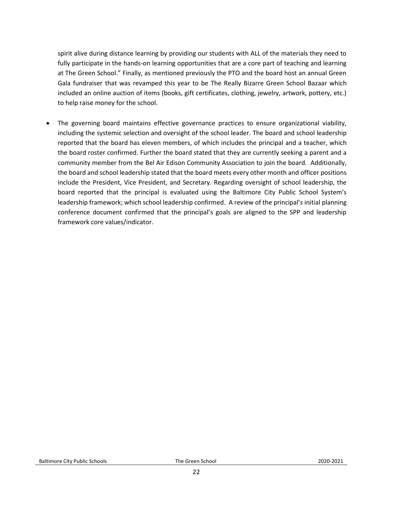spirit alive during distance learning by providing our students with ALL of the materials they need to fully participate in the hands-on learning opportunities that are a core part of teaching and learning at The Green School." Finally, as mentioned previously the PTO and the board host an annual Green Gala fundraiser that was revamped this year to be The Really Bizarre Green School Bazaar which included an online auction of items (books, gift certificates, clothing, jewelry, artwork, pottery, etc.) to help raise money for the school.

• The governing board maintains effective governance practices to ensure organizational viability, including the systemic selection and oversight of the school leader. The board and school leadership reported that the board has eleven members, of which includes the principal and a teacher, which the board roster confirmed. Further the board stated that they are currently seeking a parent and a community member from the Bel Air Edison Community Association to join the board. Additionally, the board and school leadership stated that the board meets every other month and officer positions include the President, Vice President, and Secretary. Regarding oversight of school leadership, the board reported that the principal is evaluated using the Baltimore City Public School System's leadership framework; which school leadership confirmed. A review of the principal's initial planning conference document confirmed that the principal's goals are aligned to the SPP and leadership framework core values/indicator.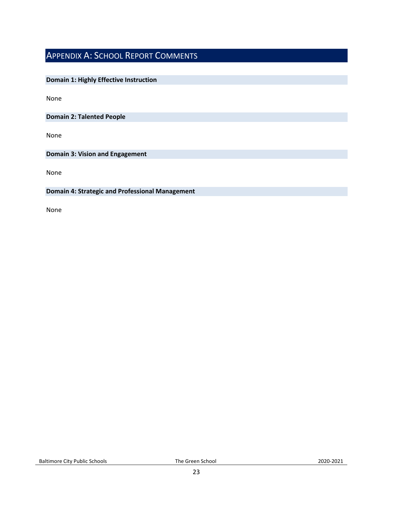## <span id="page-22-0"></span>APPENDIX A: SCHOOL REPORT COMMENTS

### **Domain 1: Highly Effective Instruction**

None

**Domain 2: Talented People**

None

**Domain 3: Vision and Engagement**

None

#### **Domain 4: Strategic and Professional Management**

None